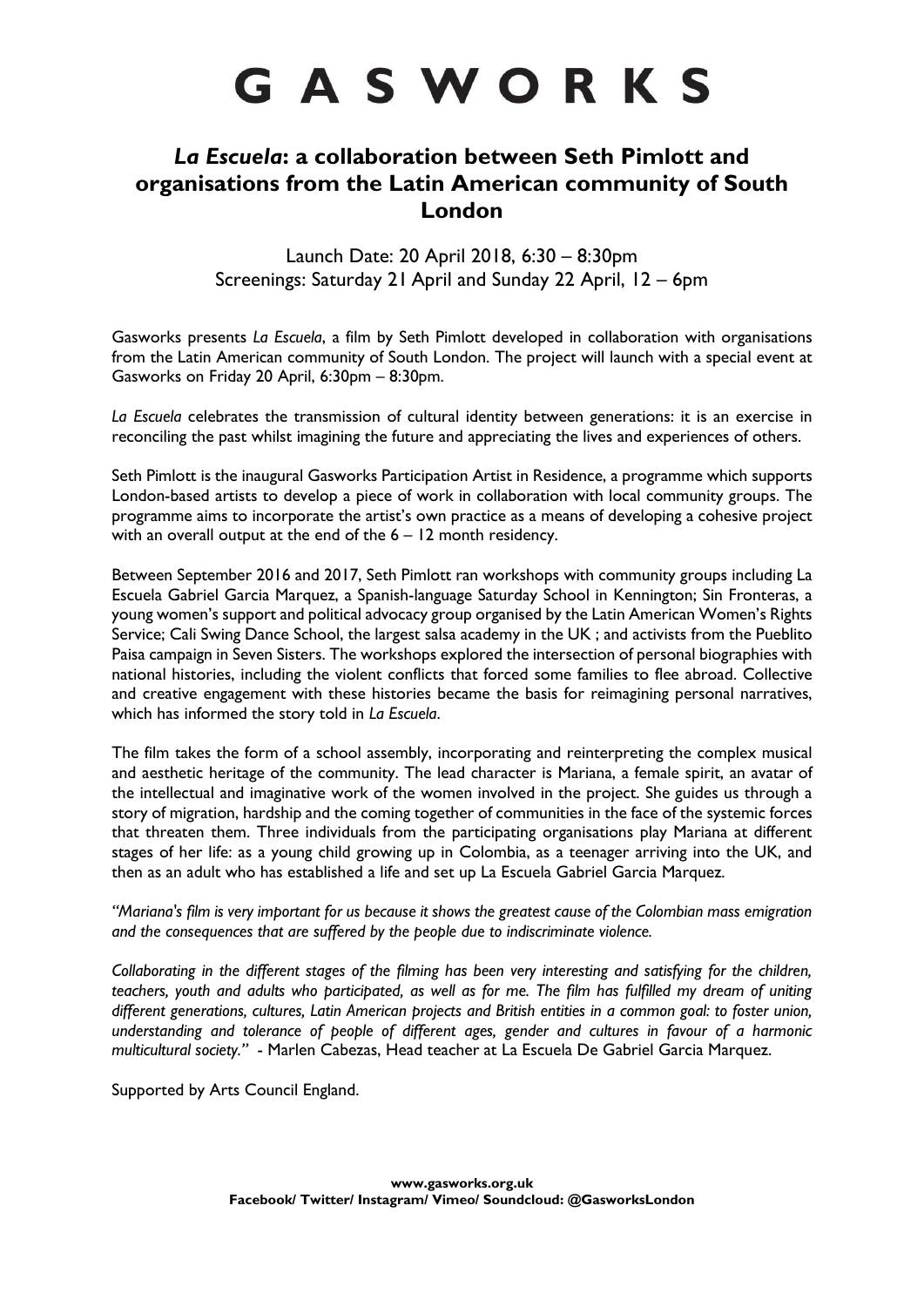# GASWORKS

# *La Escuela***: a collaboration between Seth Pimlott and organisations from the Latin American community of South London**

Launch Date: 20 April 2018, 6:30 – 8:30pm Screenings: Saturday 21 April and Sunday 22 April, 12 – 6pm

Gasworks presents *La Escuela*, a film by Seth Pimlott developed in collaboration with organisations from the Latin American community of South London. The project will launch with a special event at Gasworks on Friday 20 April, 6:30pm – 8:30pm.

*La Escuela* celebrates the transmission of cultural identity between generations: it is an exercise in reconciling the past whilst imagining the future and appreciating the lives and experiences of others.

Seth Pimlott is the inaugural Gasworks Participation Artist in Residence, a programme which supports London-based artists to develop a piece of work in collaboration with local community groups. The programme aims to incorporate the artist's own practice as a means of developing a cohesive project with an overall output at the end of the 6 – 12 month residency.

Between September 2016 and 2017, Seth Pimlott ran workshops with community groups including La Escuela Gabriel Garcia Marquez, a Spanish-language Saturday School in Kennington; Sin Fronteras, a young women's support and political advocacy group organised by the Latin American Women's Rights Service; Cali Swing Dance School, the largest salsa academy in the UK ; and activists from the Pueblito Paisa campaign in Seven Sisters. The workshops explored the intersection of personal biographies with national histories, including the violent conflicts that forced some families to flee abroad. Collective and creative engagement with these histories became the basis for reimagining personal narratives, which has informed the story told in *La Escuela*.

The film takes the form of a school assembly, incorporating and reinterpreting the complex musical and aesthetic heritage of the community. The lead character is Mariana, a female spirit, an avatar of the intellectual and imaginative work of the women involved in the project. She guides us through a story of migration, hardship and the coming together of communities in the face of the systemic forces that threaten them. Three individuals from the participating organisations play Mariana at different stages of her life: as a young child growing up in Colombia, as a teenager arriving into the UK, and then as an adult who has established a life and set up La Escuela Gabriel Garcia Marquez.

*"Mariana's film is very important for us because it shows the greatest cause of the Colombian mass emigration and the consequences that are suffered by the people due to indiscriminate violence.* 

*Collaborating in the different stages of the filming has been very interesting and satisfying for the children, teachers, youth and adults who participated, as well as for me. The film has fulfilled my dream of uniting different generations, cultures, Latin American projects and British entities in a common goal: to foster union, understanding and tolerance of people of different ages, gender and cultures in favour of a harmonic multicultural society."* - Marlen Cabezas, Head teacher at La Escuela De Gabriel Garcia Marquez.

Supported by Arts Council England.